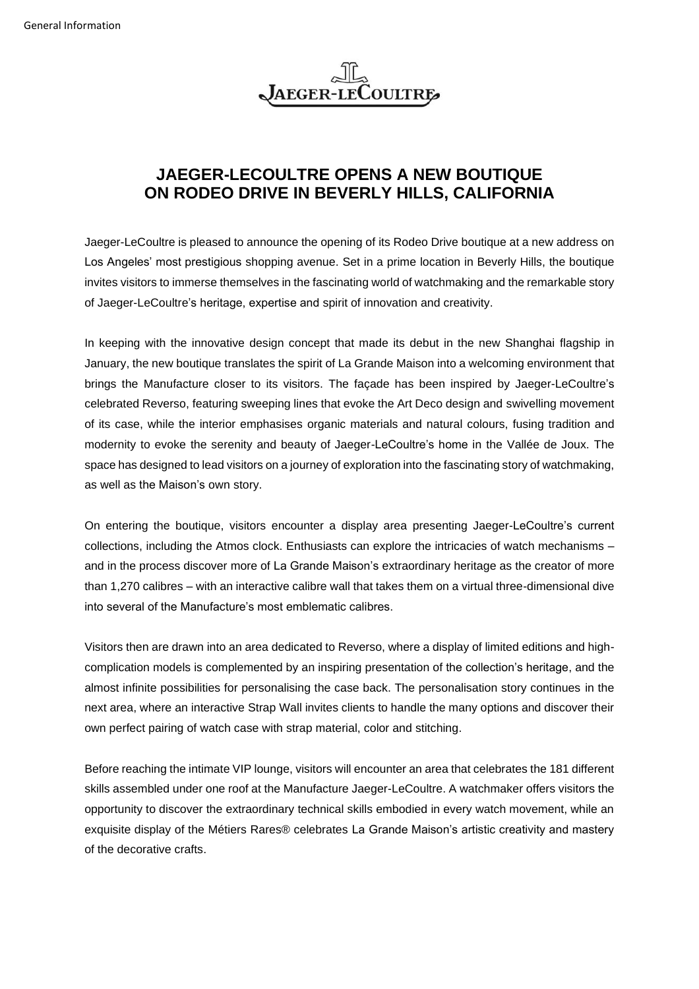

## **JAEGER-LECOULTRE OPENS A NEW BOUTIQUE ON RODEO DRIVE IN BEVERLY HILLS, CALIFORNIA**

Jaeger-LeCoultre is pleased to announce the opening of its Rodeo Drive boutique at a new address on Los Angeles' most prestigious shopping avenue. Set in a prime location in Beverly Hills, the boutique invites visitors to immerse themselves in the fascinating world of watchmaking and the remarkable story of Jaeger-LeCoultre's heritage, expertise and spirit of innovation and creativity.

In keeping with the innovative design concept that made its debut in the new Shanghai flagship in January, the new boutique translates the spirit of La Grande Maison into a welcoming environment that brings the Manufacture closer to its visitors. The façade has been inspired by Jaeger-LeCoultre's celebrated Reverso, featuring sweeping lines that evoke the Art Deco design and swivelling movement of its case, while the interior emphasises organic materials and natural colours, fusing tradition and modernity to evoke the serenity and beauty of Jaeger-LeCoultre's home in the Vallée de Joux. The space has designed to lead visitors on a journey of exploration into the fascinating story of watchmaking, as well as the Maison's own story.

On entering the boutique, visitors encounter a display area presenting Jaeger-LeCoultre's current collections, including the Atmos clock. Enthusiasts can explore the intricacies of watch mechanisms – and in the process discover more of La Grande Maison's extraordinary heritage as the creator of more than 1,270 calibres – with an interactive calibre wall that takes them on a virtual three-dimensional dive into several of the Manufacture's most emblematic calibres.

Visitors then are drawn into an area dedicated to Reverso, where a display of limited editions and highcomplication models is complemented by an inspiring presentation of the collection's heritage, and the almost infinite possibilities for personalising the case back. The personalisation story continues in the next area, where an interactive Strap Wall invites clients to handle the many options and discover their own perfect pairing of watch case with strap material, color and stitching.

Before reaching the intimate VIP lounge, visitors will encounter an area that celebrates the 181 different skills assembled under one roof at the Manufacture Jaeger-LeCoultre. A watchmaker offers visitors the opportunity to discover the extraordinary technical skills embodied in every watch movement, while an exquisite display of the Métiers Rares® celebrates La Grande Maison's artistic creativity and mastery of the decorative crafts.